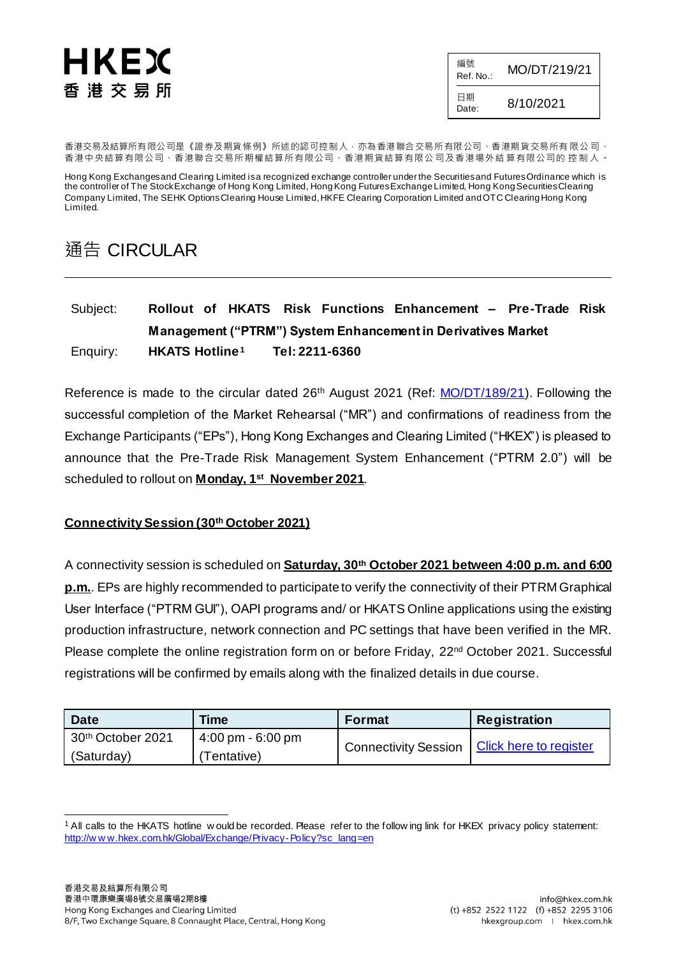# HKEX 香港交易所

編號  $R_{\text{Ref. No.}:}$  MO/DT/219/21 日期  $D_{\text{late}}$  8/10/2021

香港交易及結算所有限公司是《證券及期貨條例》所述的認可控制人,亦為香港聯合交易所有限公司、香港期貨交易所有 限公 司、 香港中央結算有限公司、香港聯合交易所期權結算所有限公司、香港期貨結算有限公司及香港場外結算有限公司的 控制人。

Hong Kong Exchanges and Clearing Limited is a recognized exchange controller under the Securities and Futures Ordinance which is the controller of The Stock Exchange of Hong Kong Limited, Hong Kong Futures Exchange Limited, Hong Kong Securities Clearing Company Limited, The SEHK Options Clearing House Limited, HKFE Clearing Corporation Limited and OTC Clearing Hong Kong Limited.

# 通告 CIRCULAR

#### Subject: **Rollout of HKATS Risk Functions Enhancement – Pre-Trade Risk Management ("PTRM") System Enhancement in Derivatives Market** Enquiry: **HKATS Hotline<sup>1</sup> Tel: 2211-6360**

Reference is made to the circular dated 26<sup>th</sup> August 2021 (Ref: *MO/DT/189/21*). Following the successful completion of the Market Rehearsal ("MR") and confirmations of readiness from the Exchange Participants ("EPs"), Hong Kong Exchanges and Clearing Limited ("HKEX") is pleased to announce that the Pre-Trade Risk Management System Enhancement ("PTRM 2.0") will be scheduled to rollout on **Monday, 1 st November 2021**.

#### **Connectivity Session (30th October 2021)**

A connectivity session is scheduled on **Saturday, 30th October 2021 between 4:00 p.m. and 6:00 p.m.**. EPs are highly recommended to participate to verify the connectivity of their PTRM Graphical User Interface ("PTRM GUI"), OAPI programs and/ or HKATS Online applications using the existing production infrastructure, network connection and PC settings that have been verified in the MR. Please complete the online registration form on or before Friday, 22<sup>nd</sup> October 2021. Successful registrations will be confirmed by emails along with the finalized details in due course.

| <b>Date</b>       | Time                                | <b>Format</b>                                 | <b>Registration</b> |
|-------------------|-------------------------------------|-----------------------------------------------|---------------------|
| 30th October 2021 | $4:00 \text{ pm} - 6:00 \text{ pm}$ | Connectivity Session   Click here to register |                     |
| (Saturday)        | Tentative)                          |                                               |                     |

<sup>-</sup><sup>1</sup> All calls to the HKATS hotline w ould be recorded. Please refer to the follow ing link for HKEX privacy policy statement: [http://w w w.hkex.com.hk/Global/Exchange/Privacy-Policy?sc\\_lang=en](http://www.hkex.com.hk/Global/Exchange/Privacy-Policy?sc_lang=en)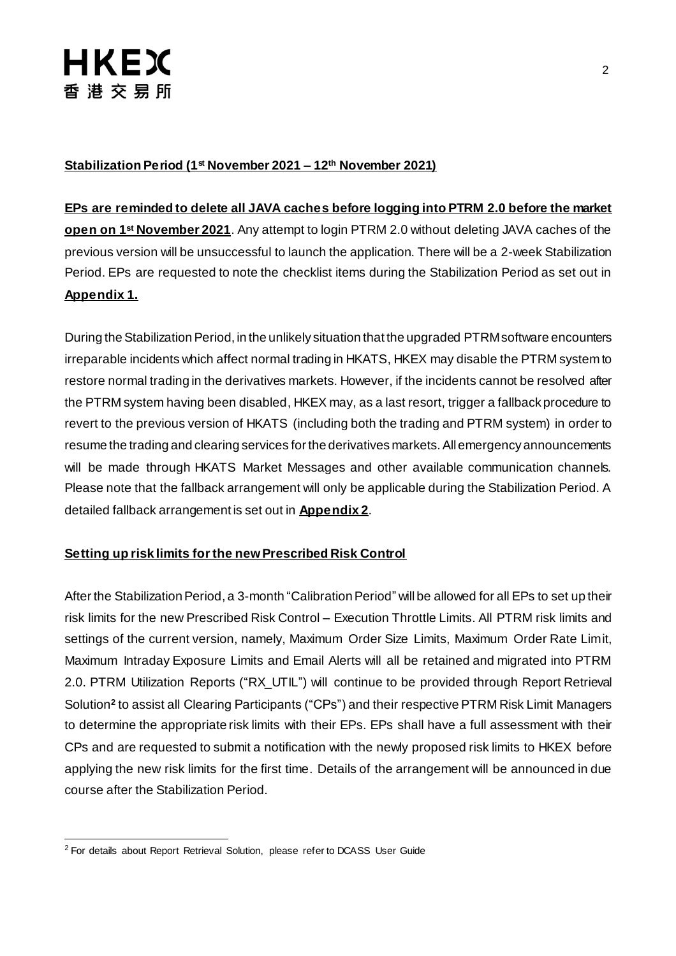#### **Stabilization Period (1st November 2021 – 12th November 2021)**

#### **EPs are reminded to delete all JAVA caches before logging into PTRM 2.0 before the market**

**open on 1 st November 2021**. Any attempt to login PTRM 2.0 without deleting JAVA caches of the previous version will be unsuccessful to launch the application. There will be a 2-week Stabilization Period. EPs are requested to note the checklist items during the Stabilization Period as set out in **Appendix 1.**

During the Stabilization Period, in the unlikely situation that the upgraded PTRM software encounters irreparable incidents which affect normal trading in HKATS, HKEX may disable the PTRM system to restore normal trading in the derivatives markets. However, if the incidents cannot be resolved after the PTRM system having been disabled, HKEX may, as a last resort, trigger a fallback procedure to revert to the previous version of HKATS (including both the trading and PTRM system) in order to resume the trading and clearing services for the derivatives markets. All emergency announcements will be made through HKATS Market Messages and other available communication channels. Please note that the fallback arrangement will only be applicable during the Stabilization Period. A detailed fallback arrangement is set out in **Appendix 2**.

#### **Setting up risk limits for the new Prescribed Risk Control**

After the Stabilization Period, a 3-month "Calibration Period" will be allowed for all EPs to set up their risk limits for the new Prescribed Risk Control – Execution Throttle Limits. All PTRM risk limits and settings of the current version, namely, Maximum Order Size Limits, Maximum Order Rate Limit, Maximum Intraday Exposure Limits and Email Alerts will all be retained and migrated into PTRM 2.0. PTRM Utilization Reports ("RX\_UTIL") will continue to be provided through Report Retrieval Solution**<sup>2</sup>** to assist all Clearing Participants ("CPs") and their respective PTRM Risk Limit Managers to determine the appropriate risk limits with their EPs. EPs shall have a full assessment with their CPs and are requested to submit a notification with the newly proposed risk limits to HKEX before applying the new risk limits for the first time. Details of the arrangement will be announced in due course after the Stabilization Period.

-

<sup>2</sup> For details about Report Retrieval Solution, please refer to DCASS User Guide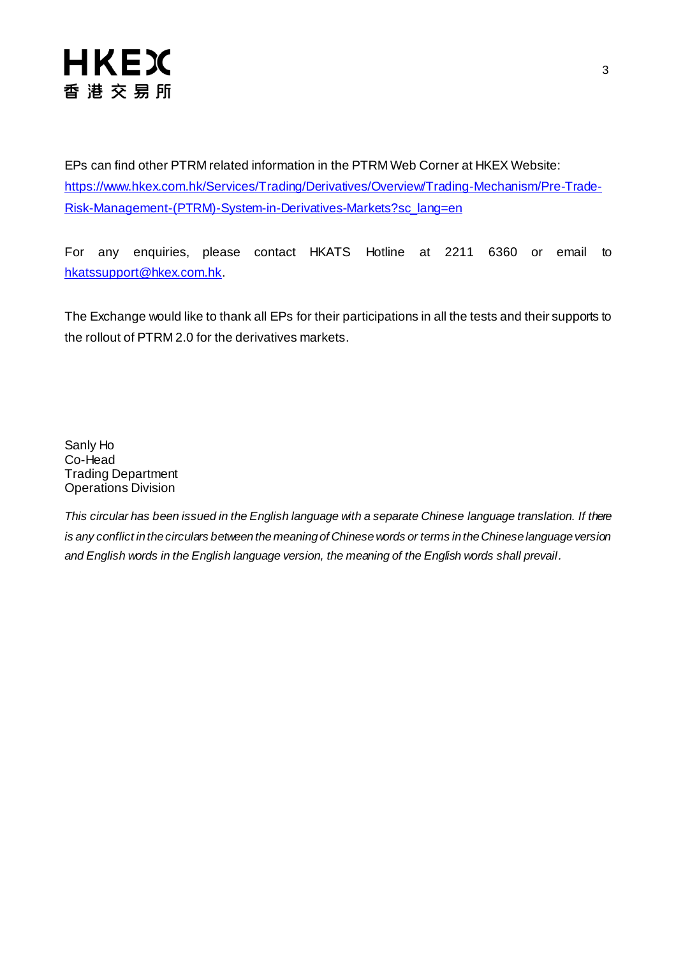# **HKEX** 香港交易所

EPs can find other PTRM related information in the PTRM Web Corner at HKEX Website: [https://www.hkex.com.hk/Services/Trading/Derivatives/Overview/Trading-Mechanism/Pre-Trade-](https://www.hkex.com.hk/Services/Trading/Derivatives/Overview/Trading-Mechanism/Pre-Trade-Risk-Management-(PTRM)-System-in-Derivatives-Markets?sc_lang=en)[Risk-Management-\(PTRM\)-System-in-Derivatives-Markets?sc\\_lang=en](https://www.hkex.com.hk/Services/Trading/Derivatives/Overview/Trading-Mechanism/Pre-Trade-Risk-Management-(PTRM)-System-in-Derivatives-Markets?sc_lang=en)

For any enquiries, please contact HKATS Hotline at 2211 6360 or email to [hkatssupport@hkex.com.hk](mailto:hkatssupport@hkex.com.hk).

The Exchange would like to thank all EPs for their participations in all the tests and their supports to the rollout of PTRM 2.0 for the derivatives markets.

Sanly Ho Co-Head Trading Department Operations Division

*This circular has been issued in the English language with a separate Chinese language translation. If there is any conflict in the circulars between the meaning of Chinese words or terms in the Chinese language version and English words in the English language version, the meaning of the English words shall prevail.*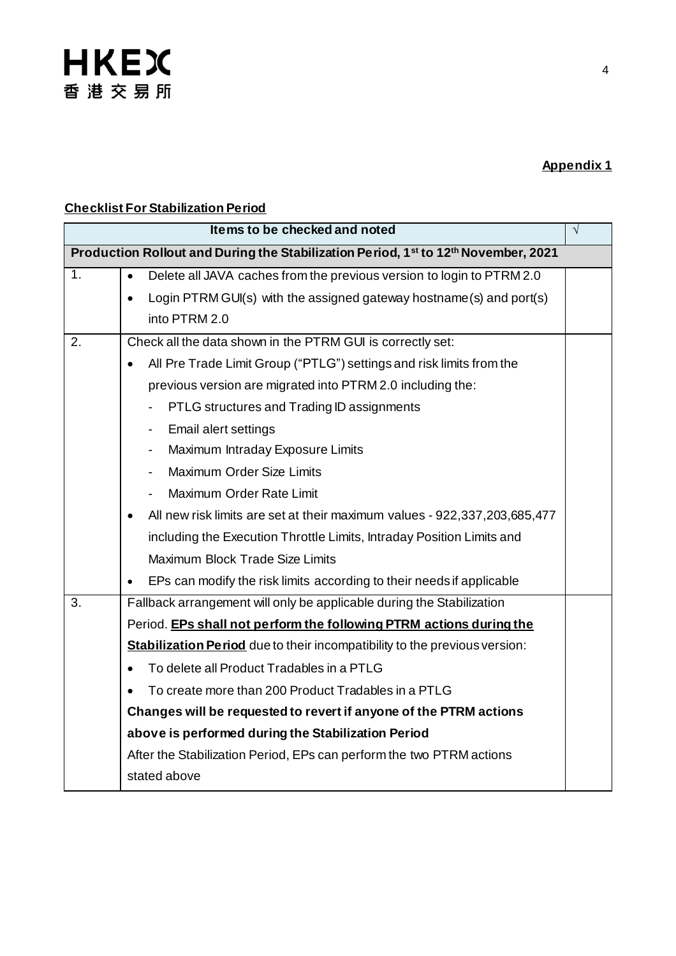## **Appendix 1**

### **Checklist For Stabilization Period**

| Items to be checked and noted                                                      |                                                                                        |  |  |  |
|------------------------------------------------------------------------------------|----------------------------------------------------------------------------------------|--|--|--|
| Production Rollout and During the Stabilization Period, 1st to 12th November, 2021 |                                                                                        |  |  |  |
| 1.                                                                                 | Delete all JAVA caches from the previous version to login to PTRM 2.0<br>$\bullet$     |  |  |  |
|                                                                                    | Login PTRM GUI(s) with the assigned gateway hostname (s) and port(s)<br>$\bullet$      |  |  |  |
|                                                                                    | into PTRM 2.0                                                                          |  |  |  |
| 2.                                                                                 | Check all the data shown in the PTRM GUI is correctly set:                             |  |  |  |
|                                                                                    | All Pre Trade Limit Group ("PTLG") settings and risk limits from the<br>$\bullet$      |  |  |  |
|                                                                                    | previous version are migrated into PTRM 2.0 including the:                             |  |  |  |
|                                                                                    | PTLG structures and Trading ID assignments                                             |  |  |  |
|                                                                                    | Email alert settings<br>$\overline{\phantom{0}}$                                       |  |  |  |
|                                                                                    | Maximum Intraday Exposure Limits<br>$\blacksquare$                                     |  |  |  |
|                                                                                    | <b>Maximum Order Size Limits</b>                                                       |  |  |  |
|                                                                                    | Maximum Order Rate Limit                                                               |  |  |  |
|                                                                                    | All new risk limits are set at their maximum values - 922,337,203,685,477<br>$\bullet$ |  |  |  |
|                                                                                    | including the Execution Throttle Limits, Intraday Position Limits and                  |  |  |  |
|                                                                                    | Maximum Block Trade Size Limits                                                        |  |  |  |
|                                                                                    | EPs can modify the risk limits according to their needs if applicable                  |  |  |  |
| 3.                                                                                 | Fallback arrangement will only be applicable during the Stabilization                  |  |  |  |
|                                                                                    | Period. EPs shall not perform the following PTRM actions during the                    |  |  |  |
|                                                                                    | <b>Stabilization Period</b> due to their incompatibility to the previous version:      |  |  |  |
|                                                                                    | To delete all Product Tradables in a PTLG                                              |  |  |  |
|                                                                                    | To create more than 200 Product Tradables in a PTLG                                    |  |  |  |
|                                                                                    | Changes will be requested to revert if anyone of the PTRM actions                      |  |  |  |
|                                                                                    | above is performed during the Stabilization Period                                     |  |  |  |
|                                                                                    | After the Stabilization Period, EPs can perform the two PTRM actions                   |  |  |  |
|                                                                                    | stated above                                                                           |  |  |  |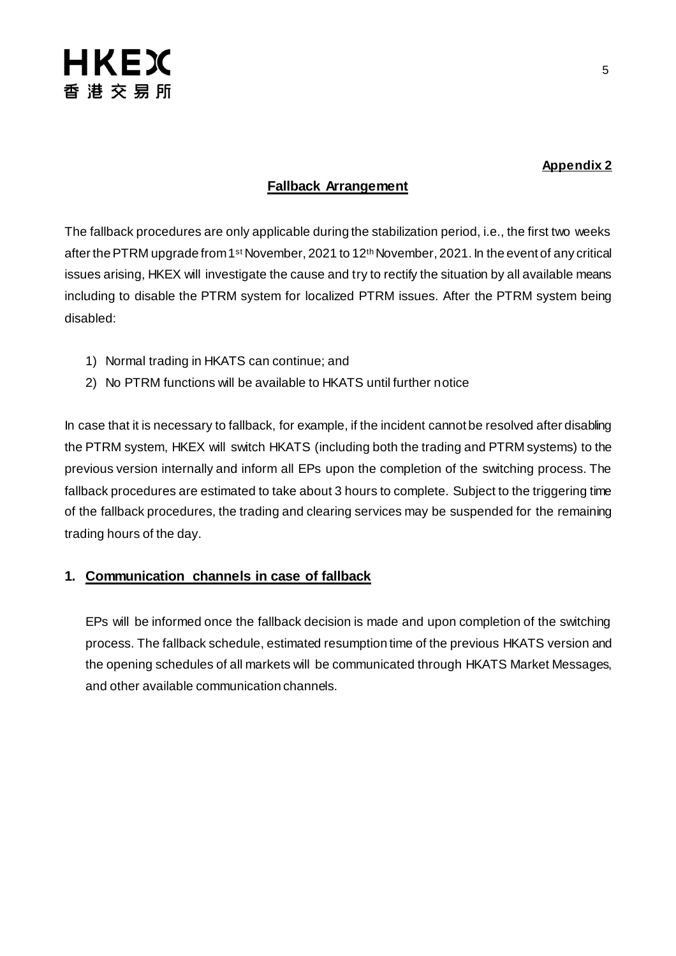

#### **Appendix 2**

#### **Fallback Arrangement**

The fallback procedures are only applicable during the stabilization period, i.e., the first two weeks after the PTRM upgrade from 1<sup>st</sup> November, 2021 to 12<sup>th</sup> November, 2021. In the event of any critical issues arising, HKEX will investigate the cause and try to rectify the situation by all available means including to disable the PTRM system for localized PTRM issues. After the PTRM system being disabled:

- 1) Normal trading in HKATS can continue; and
- 2) No PTRM functions will be available to HKATS until further notice

In case that it is necessary to fallback, for example, if the incident cannot be resolved after disabling the PTRM system, HKEX will switch HKATS (including both the trading and PTRM systems) to the previous version internally and inform all EPs upon the completion of the switching process. The fallback procedures are estimated to take about 3 hours to complete. Subject to the triggering time of the fallback procedures, the trading and clearing services may be suspended for the remaining trading hours of the day.

#### **1. Communication channels in case of fallback**

EPs will be informed once the fallback decision is made and upon completion of the switching process. The fallback schedule, estimated resumption time of the previous HKATS version and the opening schedules of all markets will be communicated through HKATS Market Messages, and other available communication channels.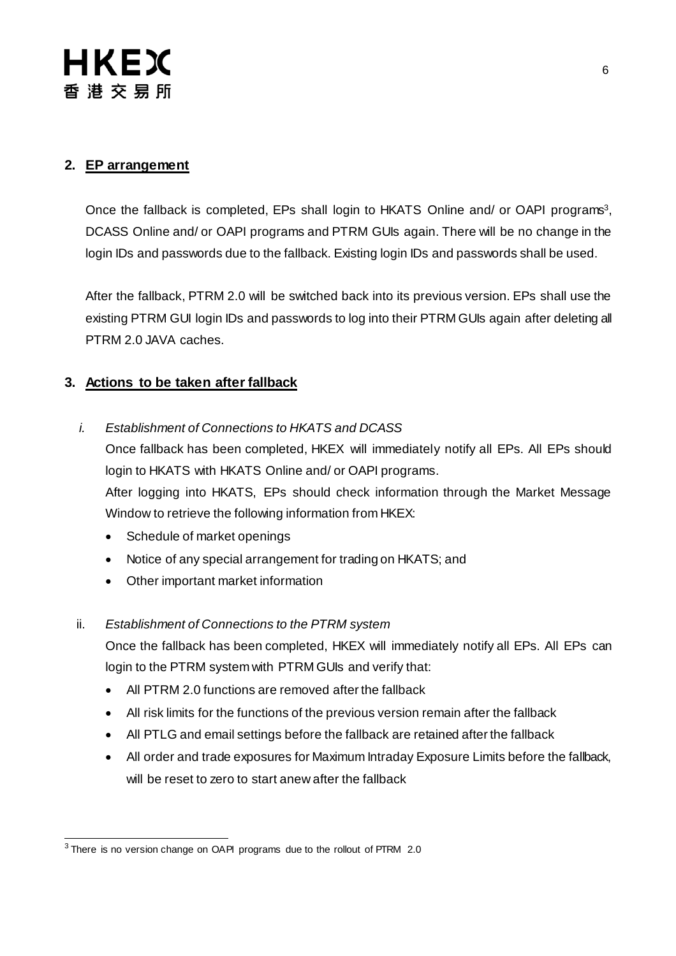### **2. EP arrangement**

Once the fallback is completed, EPs shall login to HKATS Online and/ or OAPI programs<sup>3</sup>, DCASS Online and/ or OAPI programs and PTRM GUIs again. There will be no change in the login IDs and passwords due to the fallback. Existing login IDs and passwords shall be used.

After the fallback, PTRM 2.0 will be switched back into its previous version. EPs shall use the existing PTRM GUI login IDs and passwords to log into their PTRM GUIs again after deleting all PTRM 2.0 JAVA caches.

#### **3. Actions to be taken after fallback**

*i. Establishment of Connections to HKATS and DCASS*

Once fallback has been completed, HKEX will immediately notify all EPs. All EPs should login to HKATS with HKATS Online and/ or OAPI programs. After logging into HKATS, EPs should check information through the Market Message

Window to retrieve the following information from HKEX:

- Schedule of market openings
- Notice of any special arrangement for trading on HKATS; and
- Other important market information

#### ii. *Establishment of Connections to the PTRM system*

Once the fallback has been completed, HKEX will immediately notify all EPs. All EPs can login to the PTRM system with PTRM GUIs and verify that:

- All PTRM 2.0 functions are removed after the fallback
- All risk limits for the functions of the previous version remain after the fallback
- All PTLG and email settings before the fallback are retained after the fallback
- All order and trade exposures for Maximum Intraday Exposure Limits before the fallback, will be reset to zero to start anew after the fallback

-

<sup>&</sup>lt;sup>3</sup> There is no version change on OAPI programs due to the rollout of PTRM 2.0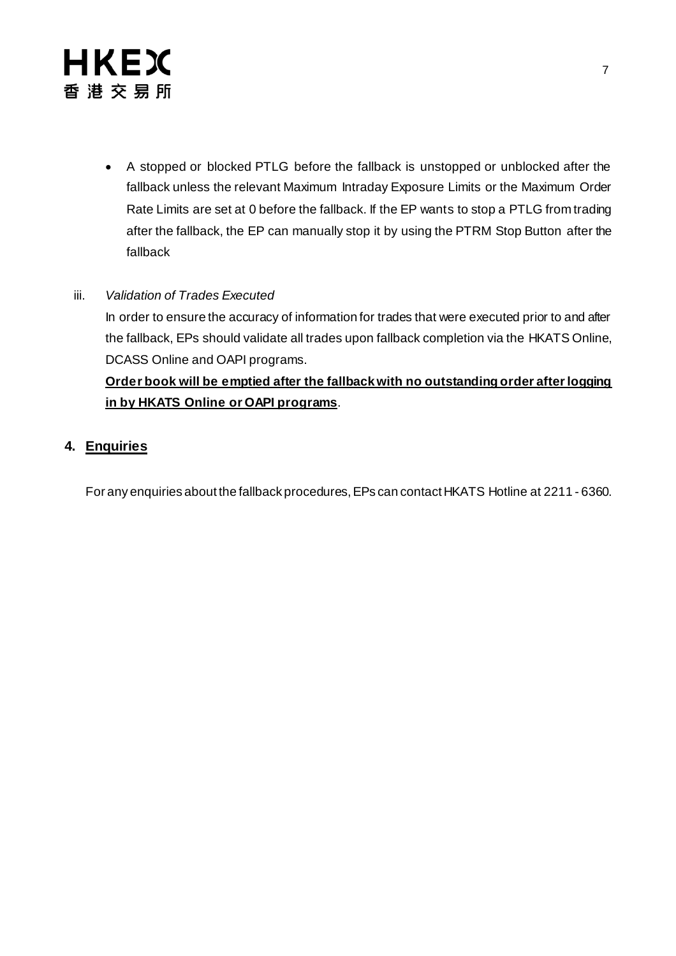# **HKEX** 香港交易所

 A stopped or blocked PTLG before the fallback is unstopped or unblocked after the fallback unless the relevant Maximum Intraday Exposure Limits or the Maximum Order Rate Limits are set at 0 before the fallback. If the EP wants to stop a PTLG from trading after the fallback, the EP can manually stop it by using the PTRM Stop Button after the fallback

#### iii. *Validation of Trades Executed*

In order to ensure the accuracy of information for trades that were executed prior to and after the fallback, EPs should validate all trades upon fallback completion via the HKATS Online, DCASS Online and OAPI programs.

## **Order book will be emptied after the fallback with no outstanding order after logging in by HKATS Online or OAPI programs**.

### **4. Enquiries**

For any enquiries about the fallback procedures, EPs can contact HKATS Hotline at 2211 - 6360.